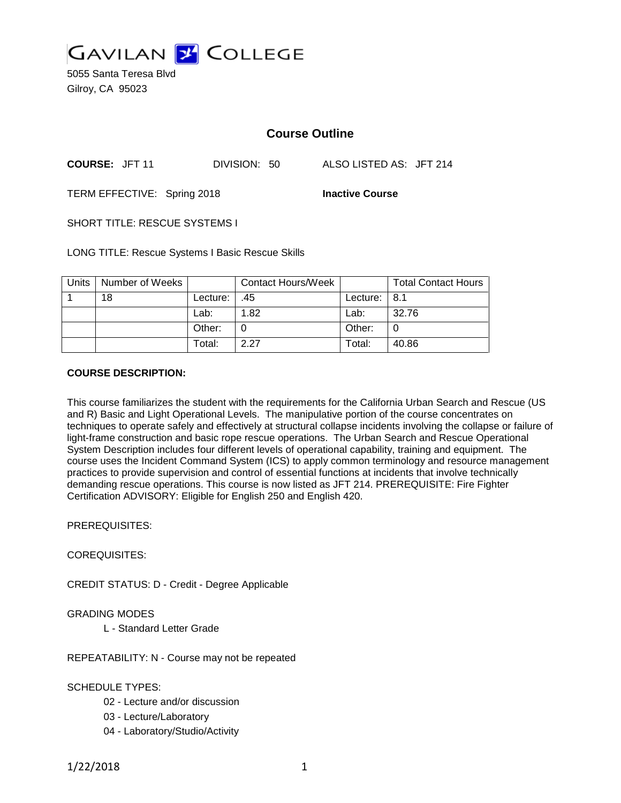

5055 Santa Teresa Blvd Gilroy, CA 95023

# **Course Outline**

**COURSE:** JFT 11 DIVISION: 50 ALSO LISTED AS: JFT 214

TERM EFFECTIVE: Spring 2018 **Inactive Course**

SHORT TITLE: RESCUE SYSTEMS I

LONG TITLE: Rescue Systems I Basic Rescue Skills

| Units | Number of Weeks |          | <b>Contact Hours/Week</b> |                | <b>Total Contact Hours</b> |
|-------|-----------------|----------|---------------------------|----------------|----------------------------|
|       | 18              | Lecture: | .45                       | Lecture: $8.1$ |                            |
|       |                 | Lab:     | 1.82                      | Lab:           | 32.76                      |
|       |                 | Other:   |                           | Other:         |                            |
|       |                 | Total:   | 2.27                      | Total:         | 40.86                      |

#### **COURSE DESCRIPTION:**

This course familiarizes the student with the requirements for the California Urban Search and Rescue (US and R) Basic and Light Operational Levels. The manipulative portion of the course concentrates on techniques to operate safely and effectively at structural collapse incidents involving the collapse or failure of light-frame construction and basic rope rescue operations. The Urban Search and Rescue Operational System Description includes four different levels of operational capability, training and equipment. The course uses the Incident Command System (ICS) to apply common terminology and resource management practices to provide supervision and control of essential functions at incidents that involve technically demanding rescue operations. This course is now listed as JFT 214. PREREQUISITE: Fire Fighter Certification ADVISORY: Eligible for English 250 and English 420.

PREREQUISITES:

COREQUISITES:

CREDIT STATUS: D - Credit - Degree Applicable

### GRADING MODES

L - Standard Letter Grade

REPEATABILITY: N - Course may not be repeated

SCHEDULE TYPES:

- 02 Lecture and/or discussion
- 03 Lecture/Laboratory
- 04 Laboratory/Studio/Activity

1/22/2018 1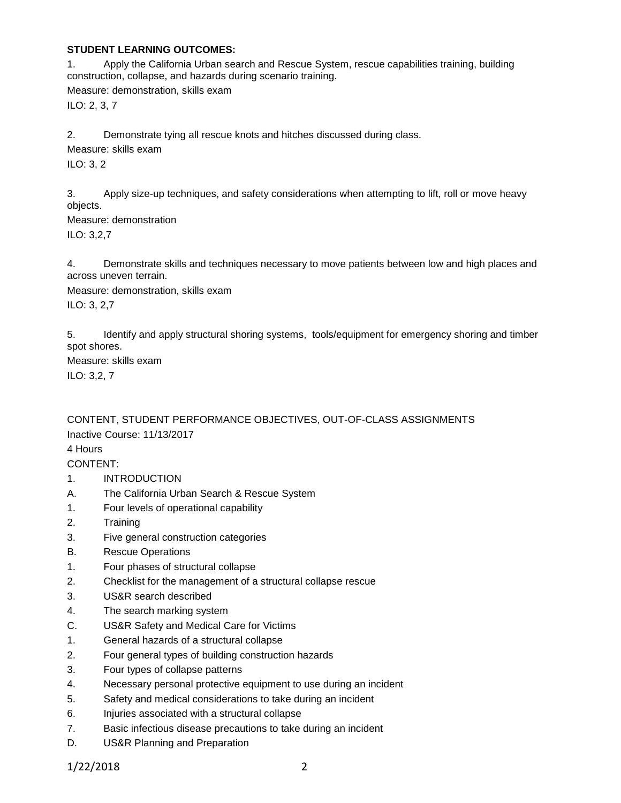### **STUDENT LEARNING OUTCOMES:**

1. Apply the California Urban search and Rescue System, rescue capabilities training, building construction, collapse, and hazards during scenario training. Measure: demonstration, skills exam ILO: 2, 3, 7

2. Demonstrate tying all rescue knots and hitches discussed during class.

Measure: skills exam

ILO: 3, 2

3. Apply size-up techniques, and safety considerations when attempting to lift, roll or move heavy objects.

Measure: demonstration ILO: 3,2,7

4. Demonstrate skills and techniques necessary to move patients between low and high places and across uneven terrain.

Measure: demonstration, skills exam ILO: 3, 2,7

5. Identify and apply structural shoring systems, tools/equipment for emergency shoring and timber spot shores.

Measure: skills exam ILO: 3,2, 7

CONTENT, STUDENT PERFORMANCE OBJECTIVES, OUT-OF-CLASS ASSIGNMENTS Inactive Course: 11/13/2017 4 Hours CONTENT: 1. INTRODUCTION

- A. The California Urban Search & Rescue System
- 1. Four levels of operational capability
- 2. Training
- 3. Five general construction categories
- B. Rescue Operations
- 1. Four phases of structural collapse
- 2. Checklist for the management of a structural collapse rescue
- 3. US&R search described
- 4. The search marking system
- C. US&R Safety and Medical Care for Victims
- 1. General hazards of a structural collapse
- 2. Four general types of building construction hazards
- 3. Four types of collapse patterns
- 4. Necessary personal protective equipment to use during an incident
- 5. Safety and medical considerations to take during an incident
- 6. Injuries associated with a structural collapse
- 7. Basic infectious disease precautions to take during an incident
- D. US&R Planning and Preparation

1/22/2018 2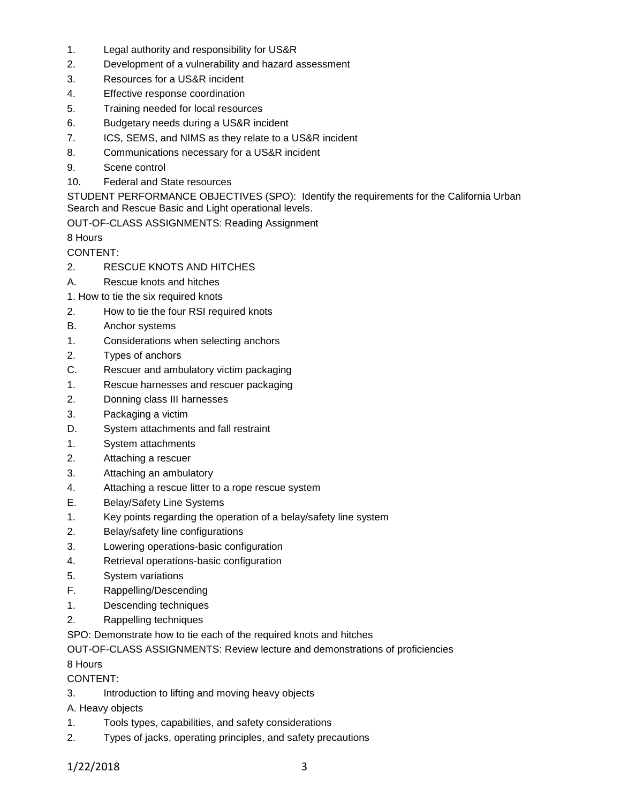- 1. Legal authority and responsibility for US&R
- 2. Development of a vulnerability and hazard assessment
- 3. Resources for a US&R incident
- 4. Effective response coordination
- 5. Training needed for local resources
- 6. Budgetary needs during a US&R incident
- 7. ICS, SEMS, and NIMS as they relate to a US&R incident
- 8. Communications necessary for a US&R incident
- 9. Scene control
- 10. Federal and State resources

STUDENT PERFORMANCE OBJECTIVES (SPO): Identify the requirements for the California Urban Search and Rescue Basic and Light operational levels.

OUT-OF-CLASS ASSIGNMENTS: Reading Assignment

8 Hours

CONTENT:

- 2. RESCUE KNOTS AND HITCHES
- A. Rescue knots and hitches
- 1. How to tie the six required knots
- 2. How to tie the four RSI required knots
- B. Anchor systems
- 1. Considerations when selecting anchors
- 2. Types of anchors
- C. Rescuer and ambulatory victim packaging
- 1. Rescue harnesses and rescuer packaging
- 2. Donning class III harnesses
- 3. Packaging a victim
- D. System attachments and fall restraint
- 1. System attachments
- 2. Attaching a rescuer
- 3. Attaching an ambulatory
- 4. Attaching a rescue litter to a rope rescue system
- E. Belay/Safety Line Systems
- 1. Key points regarding the operation of a belay/safety line system
- 2. Belay/safety line configurations
- 3. Lowering operations-basic configuration
- 4. Retrieval operations-basic configuration
- 5. System variations
- F. Rappelling/Descending
- 1. Descending techniques
- 2. Rappelling techniques

SPO: Demonstrate how to tie each of the required knots and hitches

OUT-OF-CLASS ASSIGNMENTS: Review lecture and demonstrations of proficiencies

## 8 Hours

# CONTENT:

3. Introduction to lifting and moving heavy objects

A. Heavy objects

- 1. Tools types, capabilities, and safety considerations
- 2. Types of jacks, operating principles, and safety precautions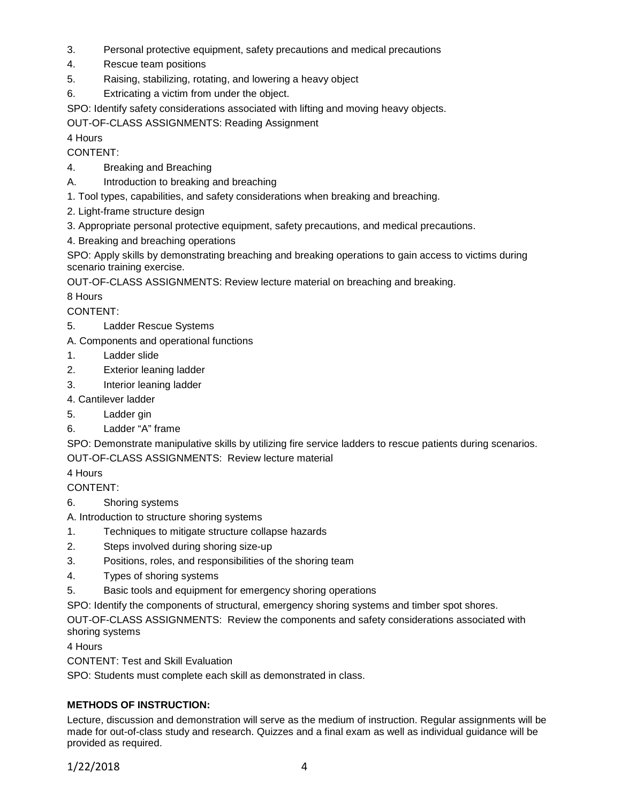- 3. Personal protective equipment, safety precautions and medical precautions
- 4. Rescue team positions
- 5. Raising, stabilizing, rotating, and lowering a heavy object
- 6. Extricating a victim from under the object.
- SPO: Identify safety considerations associated with lifting and moving heavy objects.

OUT-OF-CLASS ASSIGNMENTS: Reading Assignment

4 Hours

CONTENT:

- 4. Breaking and Breaching
- A. Introduction to breaking and breaching
- 1. Tool types, capabilities, and safety considerations when breaking and breaching.
- 2. Light-frame structure design
- 3. Appropriate personal protective equipment, safety precautions, and medical precautions.
- 4. Breaking and breaching operations

SPO: Apply skills by demonstrating breaching and breaking operations to gain access to victims during scenario training exercise.

OUT-OF-CLASS ASSIGNMENTS: Review lecture material on breaching and breaking.

8 Hours

CONTENT:

- 5. Ladder Rescue Systems
- A. Components and operational functions
- 1. Ladder slide
- 2. Exterior leaning ladder
- 3. Interior leaning ladder
- 4. Cantilever ladder
- 5. Ladder gin
- 6. Ladder "A" frame

SPO: Demonstrate manipulative skills by utilizing fire service ladders to rescue patients during scenarios. OUT-OF-CLASS ASSIGNMENTS: Review lecture material

## 4 Hours

CONTENT:

- 6. Shoring systems
- A. Introduction to structure shoring systems
- 1. Techniques to mitigate structure collapse hazards
- 2. Steps involved during shoring size-up
- 3. Positions, roles, and responsibilities of the shoring team
- 4. Types of shoring systems
- 5. Basic tools and equipment for emergency shoring operations
- SPO: Identify the components of structural, emergency shoring systems and timber spot shores.

OUT-OF-CLASS ASSIGNMENTS: Review the components and safety considerations associated with shoring systems

4 Hours

CONTENT: Test and Skill Evaluation

SPO: Students must complete each skill as demonstrated in class.

## **METHODS OF INSTRUCTION:**

Lecture, discussion and demonstration will serve as the medium of instruction. Regular assignments will be made for out-of-class study and research. Quizzes and a final exam as well as individual guidance will be provided as required.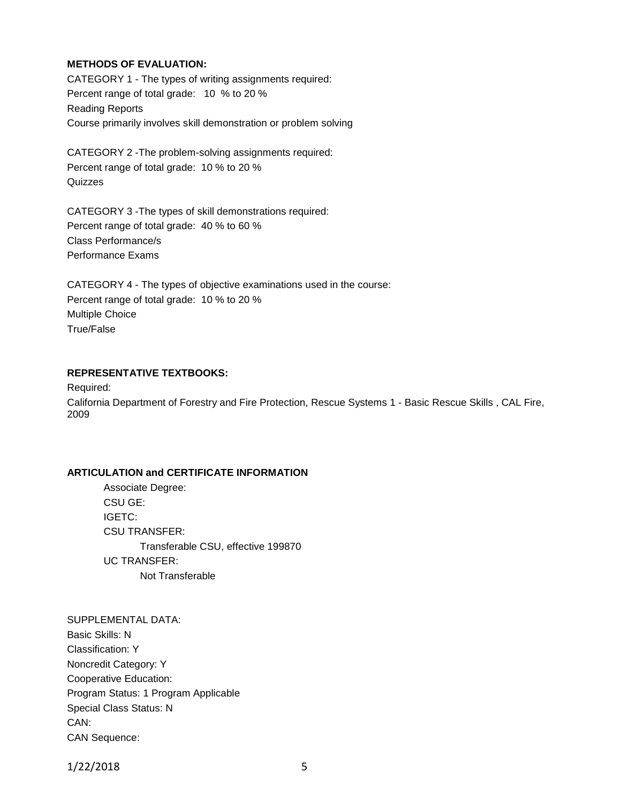### **METHODS OF EVALUATION:**

CATEGORY 1 - The types of writing assignments required: Percent range of total grade: 10 % to 20 % Reading Reports Course primarily involves skill demonstration or problem solving

CATEGORY 2 -The problem-solving assignments required: Percent range of total grade: 10 % to 20 % **Quizzes** 

CATEGORY 3 -The types of skill demonstrations required: Percent range of total grade: 40 % to 60 % Class Performance/s Performance Exams

CATEGORY 4 - The types of objective examinations used in the course: Percent range of total grade: 10 % to 20 % Multiple Choice True/False

#### **REPRESENTATIVE TEXTBOOKS:**

Required: California Department of Forestry and Fire Protection, Rescue Systems 1 - Basic Rescue Skills , CAL Fire, 2009

### **ARTICULATION and CERTIFICATE INFORMATION**

Associate Degree: CSU GE: IGETC: CSU TRANSFER: Transferable CSU, effective 199870 UC TRANSFER: Not Transferable

SUPPLEMENTAL DATA: Basic Skills: N Classification: Y Noncredit Category: Y Cooperative Education: Program Status: 1 Program Applicable Special Class Status: N CAN: CAN Sequence:

1/22/2018 5